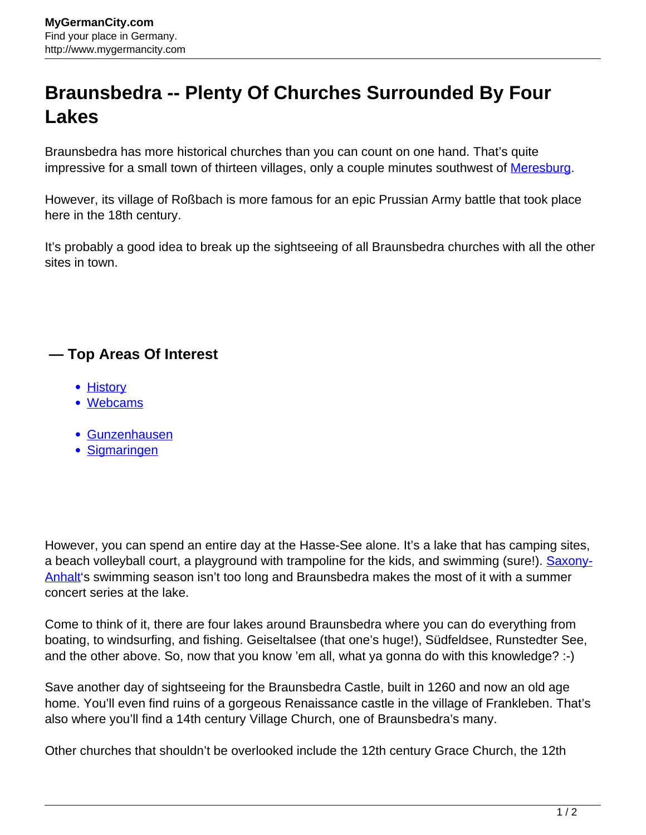## **Braunsbedra -- Plenty Of Churches Surrounded By Four Lakes**

Braunsbedra has more historical churches than you can count on one hand. That's quite impressive for a small town of thirteen villages, only a couple minutes southwest of [Meresburg](http://www.mygermancity.com/merseburg).

However, its village of Roßbach is more famous for an epic Prussian Army battle that took place here in the 18th century.

It's probably a good idea to break up the sightseeing of all Braunsbedra churches with all the other sites in town.

## **— Top Areas Of Interest**

- [History](http://www.mygermancity.com/leipzig-history)
- [Webcams](http://www.mygermancity.com/neustadt-holstein-webcams)
- [Gunzenhausen](http://www.mygermancity.com/gunzenhausen)
- [Sigmaringen](http://www.mygermancity.com/sigmaringen)

However, you can spend an entire day at the Hasse-See alone. It's a lake that has camping sites, a beach volleyball court, a playground with trampoline for the kids, and swimming (sure!). [Saxony-](http://www.mygermancity.com/saxony-anhalt)[Anhalt'](http://www.mygermancity.com/saxony-anhalt)s swimming season isn't too long and Braunsbedra makes the most of it with a summer concert series at the lake.

Come to think of it, there are four lakes around Braunsbedra where you can do everything from boating, to windsurfing, and fishing. Geiseltalsee (that one's huge!), Südfeldsee, Runstedter See, and the other above. So, now that you know 'em all, what ya gonna do with this knowledge? :-)

Save another day of sightseeing for the Braunsbedra Castle, built in 1260 and now an old age home. You'll even find ruins of a gorgeous Renaissance castle in the village of Frankleben. That's also where you'll find a 14th century Village Church, one of Braunsbedra's many.

Other churches that shouldn't be overlooked include the 12th century Grace Church, the 12th